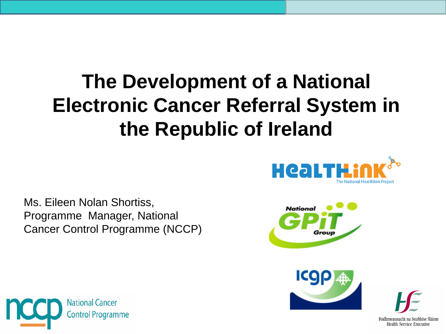### **The Development of a National Electronic Cancer Referral System in the Republic of Ireland**



Ms. Eileen Nolan Shortiss, Programme Manager, National Cancer Control Programme (NCCP)





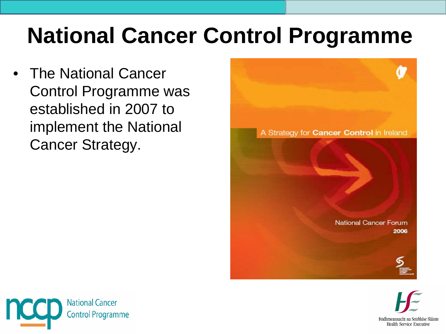## **National Cancer Control Programme**

• The National Cancer Control Programme was established in 2007 to implement the National Cancer Strategy.





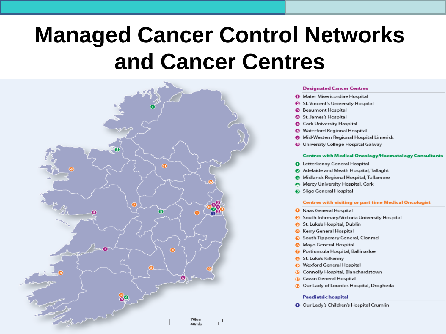### **Managed Cancer Control Networks** and Cancer Centres



#### **Designated Cancer Centres**

- **O** Mater Misericordiae Hospital
- St. Vincent's University Hospital
- **B** Beaumont Hospital
- St. James's Hospital
- **6** Cork University Hospital
- Waterford Regional Hospital
- Mid-Western Regional Hospital Limerick
- **O** University College Hospital Galway

#### **Centres with Medical Oncology/Haematology Consultants**

- **O** Letterkenny General Hospital
- Adelaide and Meath Hospital, Tallaght
- Midlands Regional Hospital, Tullamore
- Mercy University Hospital, Cork
- Sligo General Hospital

#### **Centres with visiting or part time Medical Oncologist**

- **O** Naas General Hospital
- South Infirmary/Victoria University Hospital
- St. Luke's Hospital, Dublin
- **G** Kerry General Hospital
- South Tipperary General, Clonmel
- **8** Mayo General Hospital
- **O** Portiuncula Hospital, Ballinasloe
- St. Luke's Kilkenny
- **O** Wexford General Hospital
- **Connolly Hospital, Blanchardstown**
- **C**avan General Hospital
- *C* Our Lady of Lourdes Hospital, Drogheda

#### Paediatric hospital

O Our Lady's Children's Hospital Crumlin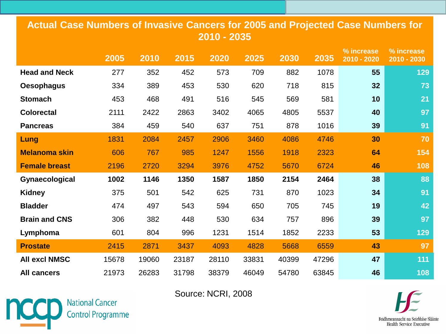#### **Actual Case Numbers of Invasive Cancers for 2005 and Projected Case Numbers for 2010 - 2035**

|                      | 2005  | 2010  | 2015  | 2020  | 2025  | 2030  | 2035  | % increase<br>2010 - 2020 | % increase<br>2010 - 2030 |
|----------------------|-------|-------|-------|-------|-------|-------|-------|---------------------------|---------------------------|
| <b>Head and Neck</b> | 277   | 352   | 452   | 573   | 709   | 882   | 1078  | 55                        | 129                       |
| <b>Oesophagus</b>    | 334   | 389   | 453   | 530   | 620   | 718   | 815   | 32                        | 73                        |
| <b>Stomach</b>       | 453   | 468   | 491   | 516   | 545   | 569   | 581   | 10                        | 21                        |
| <b>Colorectal</b>    | 2111  | 2422  | 2863  | 3402  | 4065  | 4805  | 5537  | 40                        | 97                        |
| <b>Pancreas</b>      | 384   | 459   | 540   | 637   | 751   | 878   | 1016  | 39                        | 91                        |
| Lung                 | 1831  | 2084  | 2457  | 2906  | 3460  | 4086  | 4746  | 30                        | 70                        |
| <b>Melanoma skin</b> | 606   | 767   | 985   | 1247  | 1556  | 1918  | 2323  | 64                        | 154                       |
| <b>Female breast</b> | 2196  | 2720  | 3294  | 3976  | 4752  | 5670  | 6724  | 46                        | 108                       |
| Gynaecological       | 1002  | 1146  | 1350  | 1587  | 1850  | 2154  | 2464  | 38                        | 88                        |
| <b>Kidney</b>        | 375   | 501   | 542   | 625   | 731   | 870   | 1023  | 34                        | 91                        |
| <b>Bladder</b>       | 474   | 497   | 543   | 594   | 650   | 705   | 745   | 19                        | 42                        |
| <b>Brain and CNS</b> | 306   | 382   | 448   | 530   | 634   | 757   | 896   | 39                        | 97                        |
| Lymphoma             | 601   | 804   | 996   | 1231  | 1514  | 1852  | 2233  | 53                        | 129                       |
| <b>Prostate</b>      | 2415  | 2871  | 3437  | 4093  | 4828  | 5668  | 6559  | 43                        | 97                        |
| <b>All excl NMSC</b> | 15678 | 19060 | 23187 | 28110 | 33831 | 40399 | 47296 | 47                        | 111                       |
| <b>All cancers</b>   | 21973 | 26283 | 31798 | 38379 | 46049 | 54780 | 63845 | 46                        | 108                       |

Source: NCRI, 2008



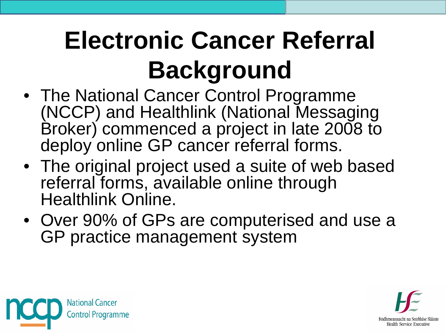# **Electronic Cancer Referral Background**

- The National Cancer Control Programme (NCCP) and Healthlink (National Messaging Broker) commenced a project in late 2008 to deploy online GP cancer referral forms.
- The original project used a suite of web based referral forms, available online through Healthlink Online.
- Over 90% of GPs are computerised and use a GP practice management system



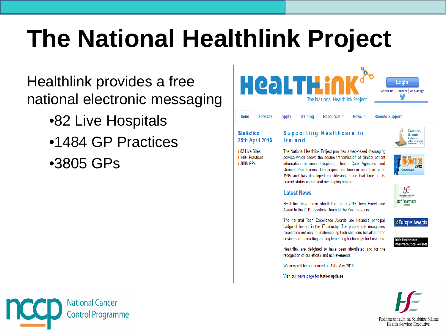## **The National Healthlink Project**

#### Healthlink provides a free national electronic messaging

- •82 Live Hospitals
- •1484 GP Practices
- •3805 GPs



#### **25th April 2016**

> 82 Live Sites > 1484 Practices > 3805 GPs

**Ireland** 

The National Healthlink Project provides a web-based messaging service which allows the secure transmission of clinical patient information between Hospitals. Health Care Agencies and General Practitioners. The project has been in operation since 1995 and has developed considerably since that time to its current status as national messaging broker.

#### **Latest News**

Healthlink have been shortlisted for a 2016 Tech Excellence Award in the IT Professional Team of the Year category.

The national Tech Excellence Awards are Ireland's principal badge of honour in the IT industry. The programme recognises excellence not only in implementing tech solutions but also in the business of marketing and implementing technology for business.

Healthlink are delighted to have been shortlisted and for the recognition of our efforts and achievements.

Winners will be announced on 12th May 2016.

Visit our news page for further updates.



HĒ

*CEurope Awards* 

vards 2013

**Irish Healthcare** Pharmaceutical Awards

**National Cancer Control Programme** 

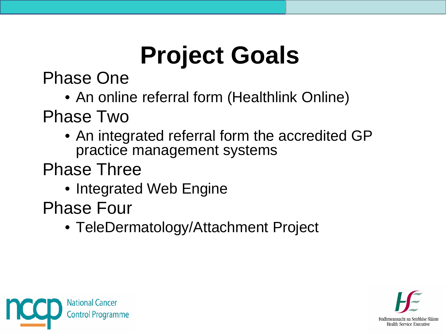# **Project Goals**

Phase One

• An online referral form (Healthlink Online)

Phase Two

• An integrated referral form the accredited GP practice management systems

Phase Three

• Integrated Web Engine

Phase Four

• TeleDermatology/Attachment Project



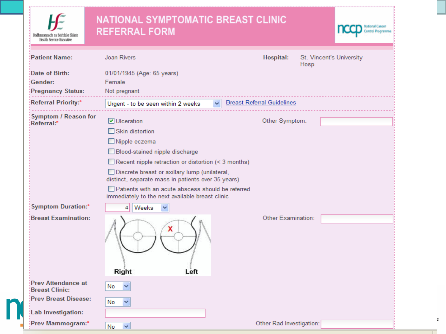| Feidhmeannacht na Seirbhíse Sláinte<br>Health Service Executive | <b>NATIONAL SYMPTOMATIC BREAST CLINIC</b><br><b>REFERRAL FORM</b>                                                                                                                                                                                                                                                                                                                      |                                                      | <b>National Cancer</b> |
|-----------------------------------------------------------------|----------------------------------------------------------------------------------------------------------------------------------------------------------------------------------------------------------------------------------------------------------------------------------------------------------------------------------------------------------------------------------------|------------------------------------------------------|------------------------|
| <b>Patient Name:</b>                                            | <b>Joan Rivers</b>                                                                                                                                                                                                                                                                                                                                                                     | <b>Hospital:</b><br>St. Vincent's University<br>Hosp |                        |
| Date of Birth:<br>Gender:<br><b>Pregnancy Status:</b>           | 01/01/1945 (Age: 65 years)<br>Female<br>Not pregnant                                                                                                                                                                                                                                                                                                                                   |                                                      |                        |
| <b>Referral Priority:*</b>                                      | Urgent - to be seen within 2 weeks<br>×.                                                                                                                                                                                                                                                                                                                                               | <b>Breast Referral Guidelines</b>                    |                        |
| <b>Symptom / Reason for</b><br>Referral:*                       | $\triangledown$ Ulceration<br>$\Box$ Skin distortion<br>Nipple eczema<br>Blood-stained nipple discharge<br>$\Box$ Recent nipple retraction or distortion (< 3 months)<br>Discrete breast or axillary lump (unilateral,<br>distinct, separate mass in patients over 35 years)<br>□ Patients with an acute abscess should be referred<br>immediately to the next available breast clinic | Other Symptom:                                       |                        |
| <b>Symptom Duration:*</b><br><b>Breast Examination:</b>         | Weeks<br>4<br>x<br>Right<br>Left                                                                                                                                                                                                                                                                                                                                                       | Other Examination:                                   |                        |
| <b>Prev Attendance at</b><br><b>Breast Clinic:</b>              | No<br>$\checkmark$                                                                                                                                                                                                                                                                                                                                                                     |                                                      |                        |
| <b>Prev Breast Disease:</b>                                     | $\checkmark$<br>No                                                                                                                                                                                                                                                                                                                                                                     |                                                      |                        |
| <b>Lab Investigation:</b><br>Prev Mammogram:*                   | $No \rightarrow$                                                                                                                                                                                                                                                                                                                                                                       | Other Rad Investigation:                             |                        |

 $\rm e$ 

n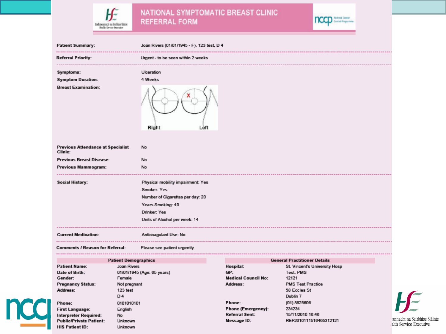NATIONAL SYMPTOMATIC BREAST CLINIC<br>REFERRAL FORM

ЬĒ

**Bolmounach ta Stirlide Siane**<br>Realth Service Becurine



|  | <b>Patient Summary:</b>                                                                                                                                          |                                        | Joan Rivers (01/01/1945 - F), 123 test, D 4                                                                                                                |                                                                             |                                                                                                             |    |  |  |
|--|------------------------------------------------------------------------------------------------------------------------------------------------------------------|----------------------------------------|------------------------------------------------------------------------------------------------------------------------------------------------------------|-----------------------------------------------------------------------------|-------------------------------------------------------------------------------------------------------------|----|--|--|
|  | -------------<br><b>Referral Priority:</b>                                                                                                                       |                                        | Urgent - to be seen within 2 weeks                                                                                                                         |                                                                             |                                                                                                             |    |  |  |
|  | Symptoms:<br><b>Symptom Duration:</b><br><b>Breast Examination:</b>                                                                                              |                                        | Ulceration<br>4 Weeks<br>Right<br>Left                                                                                                                     |                                                                             |                                                                                                             |    |  |  |
|  | <b>Previous Attendance at Specialist</b><br>Clinic:                                                                                                              |                                        | <b>No</b>                                                                                                                                                  |                                                                             |                                                                                                             |    |  |  |
|  | <b>Previous Breast Disease:</b>                                                                                                                                  |                                        | No                                                                                                                                                         |                                                                             |                                                                                                             |    |  |  |
|  | <b>Previous Mammogram:</b><br><b>Social History:</b><br><b>Current Medication:</b><br><b>Comments / Reason for Referral:</b><br>                                 |                                        | No                                                                                                                                                         |                                                                             |                                                                                                             |    |  |  |
|  |                                                                                                                                                                  |                                        | Physical mobility impairment: Yes<br>Smoker: Yes<br>Number of Cigarettes per day: 20<br>Years Smoking: 40<br>Drinker: Yes<br>Units of Alcohol per week: 14 |                                                                             |                                                                                                             |    |  |  |
|  |                                                                                                                                                                  |                                        | Anticoagulant Use: No                                                                                                                                      |                                                                             |                                                                                                             |    |  |  |
|  |                                                                                                                                                                  |                                        | Please see patient urgently<br>---------------<br>------------------                                                                                       |                                                                             |                                                                                                             |    |  |  |
|  |                                                                                                                                                                  | <b>Patient Demographics</b>            |                                                                                                                                                            |                                                                             | <b>General Practitioner Details</b>                                                                         |    |  |  |
|  | <b>Patient Name:</b><br>Joan Rivers<br>Date of Birth:<br>Gender:<br>Female<br><b>Pregnancy Status:</b><br>Not pregnant<br>123 test<br>Address:<br>D <sub>4</sub> |                                        | 01/01/1945 (Age: 65 years)                                                                                                                                 | Hospital:<br>GP:<br><b>Medical Council No:</b><br><b>Address:</b>           | St. Vincent's University Hosp<br>Test, PMS<br>12121<br><b>PMS Test Practice</b><br>58 Eccles St<br>Dublin 7 |    |  |  |
|  |                                                                                                                                                                  |                                        |                                                                                                                                                            |                                                                             |                                                                                                             |    |  |  |
|  | Phone:<br><b>First Language:</b><br><b>Interpreter Required:</b><br><b>Public/Private Patient:</b>                                                               | 0101010101<br>English<br>No<br>Unknown |                                                                                                                                                            | Phone:<br><b>Phone (Emergency):</b><br><b>Referral Sent:</b><br>Message ID: | (01) 8825606<br>234234<br>15/11/2010 16:46<br>REF2010111516465312121                                        | a  |  |  |
|  | <b>HIS Patient ID:</b>                                                                                                                                           | Unknown                                |                                                                                                                                                            |                                                                             |                                                                                                             | al |  |  |

 $H$ nnacht na Seirbhíse Sláinte th Service Executive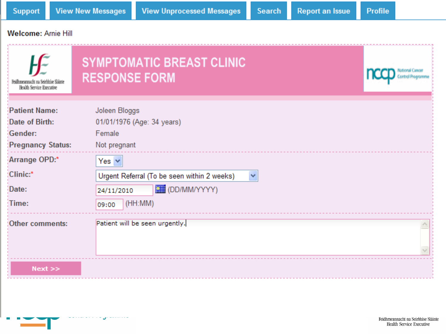#### Welcome: Arnie Hill

| Feidhmeannacht na Seirbhíse Sláinte<br>Health Service Executive                                                              | <b>SYMPTOMATIC BREAST CLINIC</b><br><b>RESPONSE FORM</b>                                                                                                                                                        |  |
|------------------------------------------------------------------------------------------------------------------------------|-----------------------------------------------------------------------------------------------------------------------------------------------------------------------------------------------------------------|--|
| <b>Patient Name:</b><br>Date of Birth:<br>Gender:<br><b>Pregnancy Status:</b><br>Arrange OPD:*<br>Clinic:*<br>Date:<br>Time: | Joleen Bloggs<br>01/01/1976 (Age: 34 years)<br>Female<br>Not pregnant<br>Yes $\vee$<br>Urgent Referral (To be seen within 2 weeks)<br>$\checkmark$<br><b>ELE</b> (DD/MM/YYYY)<br>24/11/2010<br>(HH:MM)<br>09:00 |  |
| Other comments:<br>$Next$ $>>$                                                                                               | Patient will be seen urgently.                                                                                                                                                                                  |  |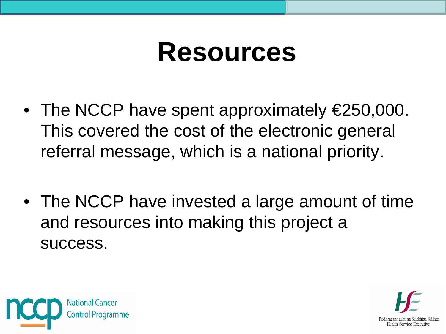## **Resources**

- The NCCP have spent approximately €250,000. This covered the cost of the electronic general referral message, which is a national priority.
- The NCCP have invested a large amount of time and resources into making this project a success.



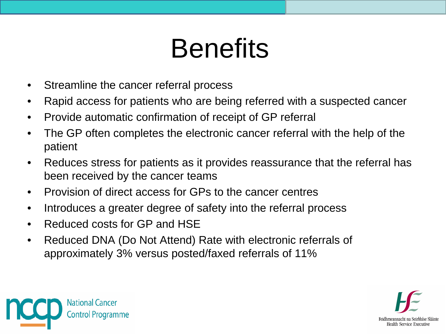# **Benefits**

- Streamline the cancer referral process
- Rapid access for patients who are being referred with a suspected cancer
- Provide automatic confirmation of receipt of GP referral
- The GP often completes the electronic cancer referral with the help of the patient
- Reduces stress for patients as it provides reassurance that the referral has been received by the cancer teams
- Provision of direct access for GPs to the cancer centres
- Introduces a greater degree of safety into the referral process
- Reduced costs for GP and HSE
- Reduced DNA (Do Not Attend) Rate with electronic referrals of approximately 3% versus posted/faxed referrals of 11%



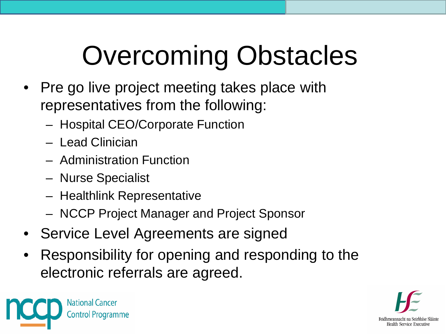# Overcoming Obstacles

- Pre go live project meeting takes place with representatives from the following:
	- Hospital CEO/Corporate Function
	- Lead Clinician
	- Administration Function
	- Nurse Specialist
	- Healthlink Representative
	- NCCP Project Manager and Project Sponsor
- Service Level Agreements are signed
- Responsibility for opening and responding to the electronic referrals are agreed.



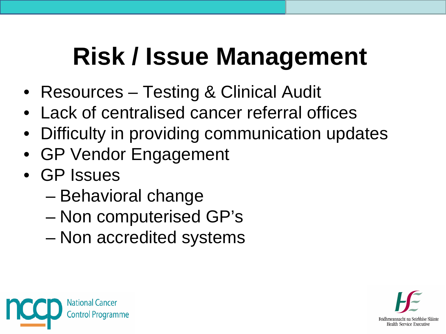## **Risk / Issue Management**

- Resources Testing & Clinical Audit
- Lack of centralised cancer referral offices
- Difficulty in providing communication updates
- GP Vendor Engagement
- GP Issues
	- Behavioral change
	- Non computerised GP's
	- Non accredited systems



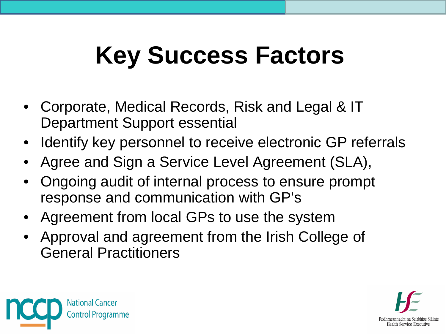# **Key Success Factors**

- Corporate, Medical Records, Risk and Legal & IT Department Support essential
- Identify key personnel to receive electronic GP referrals
- Agree and Sign a Service Level Agreement (SLA),
- Ongoing audit of internal process to ensure prompt response and communication with GP's
- Agreement from local GPs to use the system
- Approval and agreement from the Irish College of General Practitioners



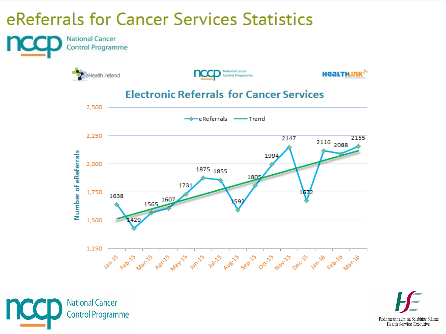#### eReferrals for Cancer Services Statistics



Feidhmeannacht na Seirbhíse Sláinte **Health Service Executive** 

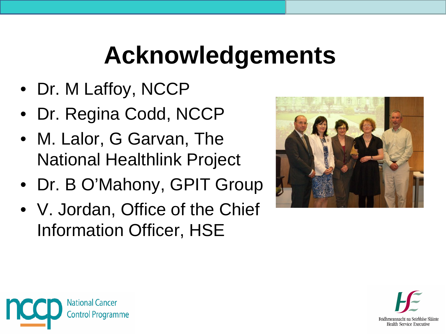## **Acknowledgements**

- Dr. M Laffoy, NCCP
- Dr. Regina Codd, NCCP
- M. Lalor, G Garvan, The National Healthlink Project
- Dr. B O'Mahony, GPIT Group
- V. Jordan, Office of the Chief Information Officer, HSE





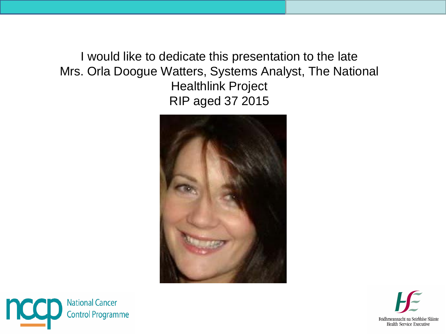I would like to dedicate this presentation to the late Mrs. Orla Doogue Watters, Systems Analyst, The National Healthlink Project RIP aged 37 2015